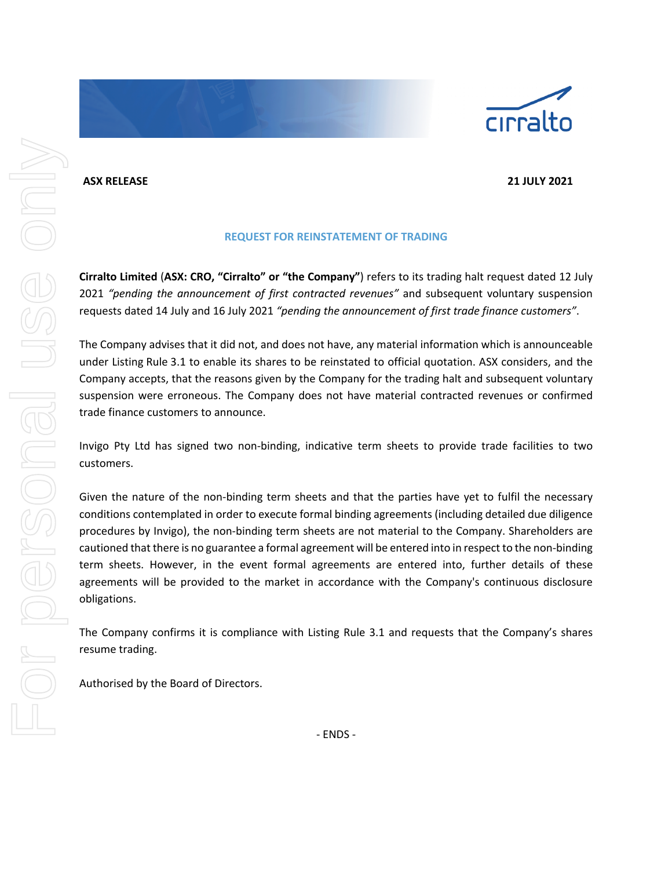## **ASX RELEASE 21 JULY 2021**

## **REQUEST FOR REINSTATEMENT OF TRADING**

**Cirralto Limited** (**ASX: CRO, "Cirralto" or "the Company"**) refers to its trading halt request dated 12 July 2021 *"pending the announcement of first contracted revenues"* and subsequent voluntary suspension requests dated 14 July and 16 July 2021 *"pending the announcement of first trade finance customers"*.

The Company advises that it did not, and does not have, any material information which is announceable under Listing Rule 3.1 to enable its shares to be reinstated to official quotation. ASX considers, and the Company accepts, that the reasons given by the Company for the trading halt and subsequent voluntary suspension were erroneous. The Company does not have material contracted revenues or confirmed trade finance customers to announce.

Invigo Pty Ltd has signed two non-binding, indicative term sheets to provide trade facilities to two customers.

Given the nature of the non-binding term sheets and that the parties have yet to fulfil the necessary conditions contemplated in order to execute formal binding agreements (including detailed due diligence procedures by Invigo), the non-binding term sheets are not material to the Company. Shareholders are cautioned that there is no guarantee a formal agreement will be entered into in respect to the non-binding term sheets. However, in the event formal agreements are entered into, further details of these agreements will be provided to the market in accordance with the Company's continuous disclosure obligations.

The Company confirms it is compliance with Listing Rule 3.1 and requests that the Company's shares resume trading.

Authorised by the Board of Directors.